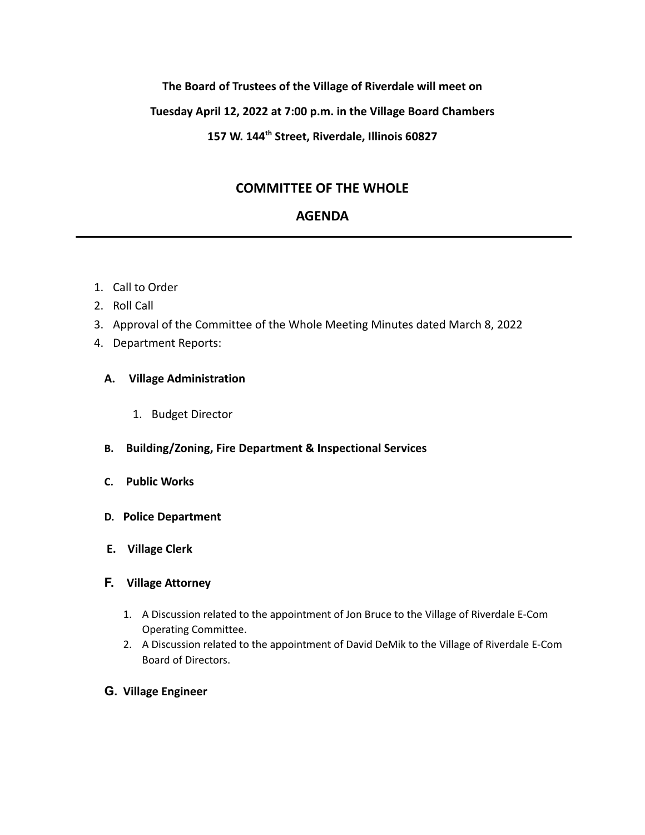### **The Board of Trustees of the Village of Riverdale will meet on**

### **Tuesday April 12, 2022 at 7:00 p.m. in the Village Board Chambers**

## **157 W. 144th Street, Riverdale, Illinois 60827**

# **COMMITTEE OF THE WHOLE**

# **AGENDA**

- 1. Call to Order
- 2. Roll Call
- 3. Approval of the Committee of the Whole Meeting Minutes dated March 8, 2022
- 4. Department Reports:

### **A. Village Administration**

- 1. Budget Director
- **B. Building/Zoning, Fire Department & Inspectional Services**
- **C. Public Works**
- **D. Police Department**
- **E. Village Clerk**
- **F. Village Attorney**
	- 1. A Discussion related to the appointment of Jon Bruce to the Village of Riverdale E-Com Operating Committee.
	- 2. A Discussion related to the appointment of David DeMik to the Village of Riverdale E-Com Board of Directors.
- **G. Village Engineer**